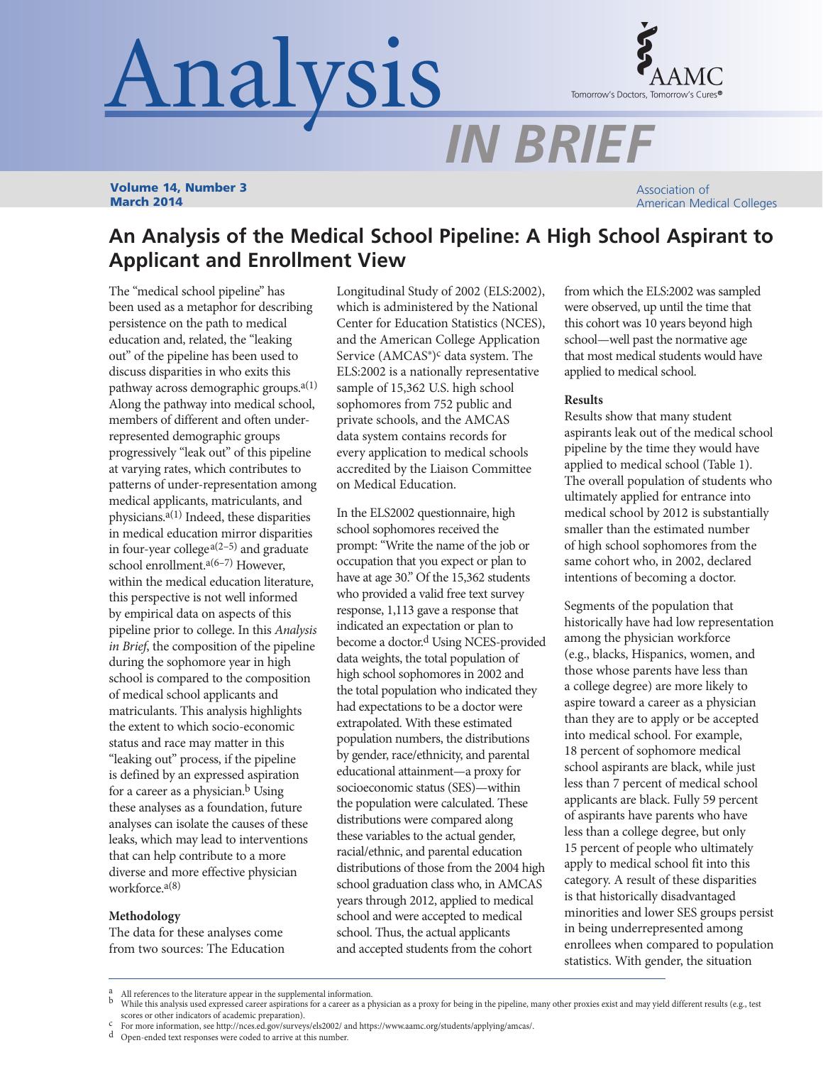# Analysis



*IN BRIEF*

Volume 14, Number 3 March 2014

Association of American Medical Colleges

# **An Analysis of the Medical School Pipeline: A High School Aspirant to Applicant and Enrollment View**

The "medical school pipeline" has been used as a metaphor for describing persistence on the path to medical education and, related, the "leaking out" of the pipeline has been used to discuss disparities in who exits this pathway across demographic groups.<sup>a(1)</sup> Along the pathway into medical school, members of different and often underrepresented demographic groups progressively "leak out" of this pipeline at varying rates, which contributes to patterns of under-representation among medical applicants, matriculants, and physicians.a(1) Indeed, these disparities in medical education mirror disparities in four-year college<sup> $a(2-5)$ </sup> and graduate school enrollment. $a(6-7)$  However, within the medical education literature, this perspective is not well informed by empirical data on aspects of this pipeline prior to college. In this *Analysis in Brief*, the composition of the pipeline during the sophomore year in high school is compared to the composition of medical school applicants and matriculants. This analysis highlights the extent to which socio-economic status and race may matter in this "leaking out" process, if the pipeline is defined by an expressed aspiration for a career as a physician.<sup>b</sup> Using these analyses as a foundation, future analyses can isolate the causes of these leaks, which may lead to interventions that can help contribute to a more diverse and more effective physician workforce.a(8)

## **Methodology**

The data for these analyses come from two sources: The Education Longitudinal Study of 2002 (ELS:2002), which is administered by the National Center for Education Statistics (NCES), and the American College Application Service  $(AMCAS<sup>°</sup>)<sup>c</sup>$  data system. The ELS:2002 is a nationally representative sample of 15,362 U.S. high school sophomores from 752 public and private schools, and the AMCAS data system contains records for every application to medical schools accredited by the Liaison Committee on Medical Education.

In the ELS2002 questionnaire, high school sophomores received the prompt: "Write the name of the job or occupation that you expect or plan to have at age 30." Of the 15,362 students who provided a valid free text survey response, 1,113 gave a response that indicated an expectation or plan to become a doctor.<sup>d</sup> Using NCES-provided data weights, the total population of high school sophomores in 2002 and the total population who indicated they had expectations to be a doctor were extrapolated. With these estimated population numbers, the distributions by gender, race/ethnicity, and parental educational attainment—a proxy for socioeconomic status (SES)—within the population were calculated. These distributions were compared along these variables to the actual gender, racial/ethnic, and parental education distributions of those from the 2004 high school graduation class who, in AMCAS years through 2012, applied to medical school and were accepted to medical school. Thus, the actual applicants and accepted students from the cohort

from which the ELS:2002 was sampled were observed, up until the time that this cohort was 10 years beyond high school—well past the normative age that most medical students would have applied to medical school.

# **Results**

Results show that many student aspirants leak out of the medical school pipeline by the time they would have applied to medical school (Table 1). The overall population of students who ultimately applied for entrance into medical school by 2012 is substantially smaller than the estimated number of high school sophomores from the same cohort who, in 2002, declared intentions of becoming a doctor.

Segments of the population that historically have had low representation among the physician workforce (e.g., blacks, Hispanics, women, and those whose parents have less than a college degree) are more likely to aspire toward a career as a physician than they are to apply or be accepted into medical school. For example, 18 percent of sophomore medical school aspirants are black, while just less than 7 percent of medical school applicants are black. Fully 59 percent of aspirants have parents who have less than a college degree, but only 15 percent of people who ultimately apply to medical school fit into this category. A result of these disparities is that historically disadvantaged minorities and lower SES groups persist in being underrepresented among enrollees when compared to population statistics. With gender, the situation

All references to the literature appear in the supplemental information.<br>While this analysis used expressed career aspirations for a career as a physician as a proxy for being in the pipeline, many other proxies exist and % scores or other indicators of academic preparation).<br>
For more information, see http://nces.ed.gov/surveys/els2002/ and https://www.aamc.org/students/applying/amcas/.<br>
d Open-ended text responses were coded to arrive at